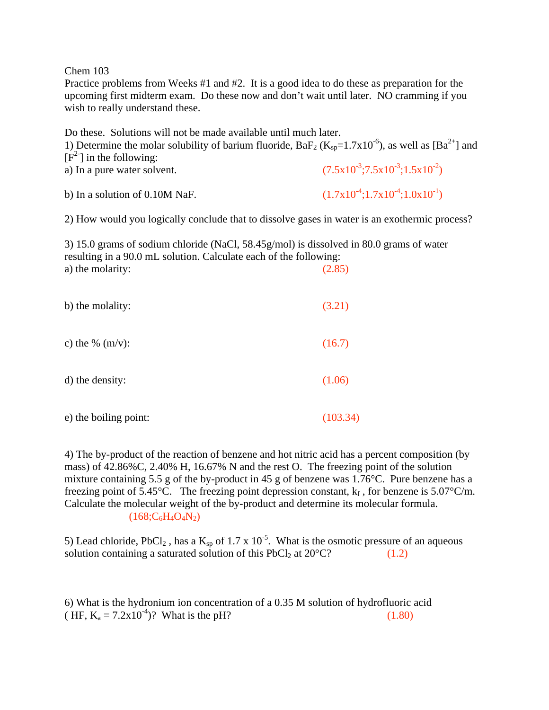Chem 103

Practice problems from Weeks #1 and #2. It is a good idea to do these as preparation for the upcoming first midterm exam. Do these now and don't wait until later. NO cramming if you wish to really understand these.

| Do these. Solutions will not be made available until much later.<br>1) Determine the molar solubility of barium fluoride, BaF <sub>2</sub> (K <sub>sp</sub> =1.7x10 <sup>-6</sup> ), as well as [Ba <sup>2+</sup> ] and<br>$[F2]$ in the following: |                                                                |  |
|-----------------------------------------------------------------------------------------------------------------------------------------------------------------------------------------------------------------------------------------------------|----------------------------------------------------------------|--|
| a) In a pure water solvent.                                                                                                                                                                                                                         | $(7.5 \times 10^{-3}; 7.5 \times 10^{-3}; 1.5 \times 10^{-2})$ |  |
| b) In a solution of 0.10M NaF.                                                                                                                                                                                                                      | $(1.7x10^{-4};1.7x10^{-4};1.0x10^{-1})$                        |  |
| 2) How would you logically conclude that to dissolve gases in water is an exothermic process?                                                                                                                                                       |                                                                |  |
| 3) 15.0 grams of sodium chloride (NaCl, $58.45g/mol$ ) is dissolved in 80.0 grams of water<br>resulting in a 90.0 mL solution. Calculate each of the following:<br>a) the molarity:<br>(2.85)                                                       |                                                                |  |
| b) the molality:                                                                                                                                                                                                                                    | (3.21)                                                         |  |
| c) the % $(m/v)$ :                                                                                                                                                                                                                                  | (16.7)                                                         |  |
| d) the density:                                                                                                                                                                                                                                     | (1.06)                                                         |  |

e) the boiling point: (103.34)

4) The by-product of the reaction of benzene and hot nitric acid has a percent composition (by mass) of 42.86%C, 2.40% H, 16.67% N and the rest O. The freezing point of the solution mixture containing 5.5 g of the by-product in 45 g of benzene was 1.76°C. Pure benzene has a freezing point of 5.45°C. The freezing point depression constant,  $k_f$ , for benzene is 5.07°C/m. Calculate the molecular weight of the by-product and determine its molecular formula.  $(168;C_6H_4O_4N_2)$ 

5) Lead chloride, PbCl<sub>2</sub>, has a  $K_{sp}$  of 1.7 x 10<sup>-5</sup>. What is the osmotic pressure of an aqueous solution containing a saturated solution of this PbCl<sub>2</sub> at  $20^{\circ}$ C? (1.2)

6) What is the hydronium ion concentration of a 0.35 M solution of hydrofluoric acid ( HF,  $K_a = 7.2 \times 10^{-4}$ )? What is the pH? (1.80)